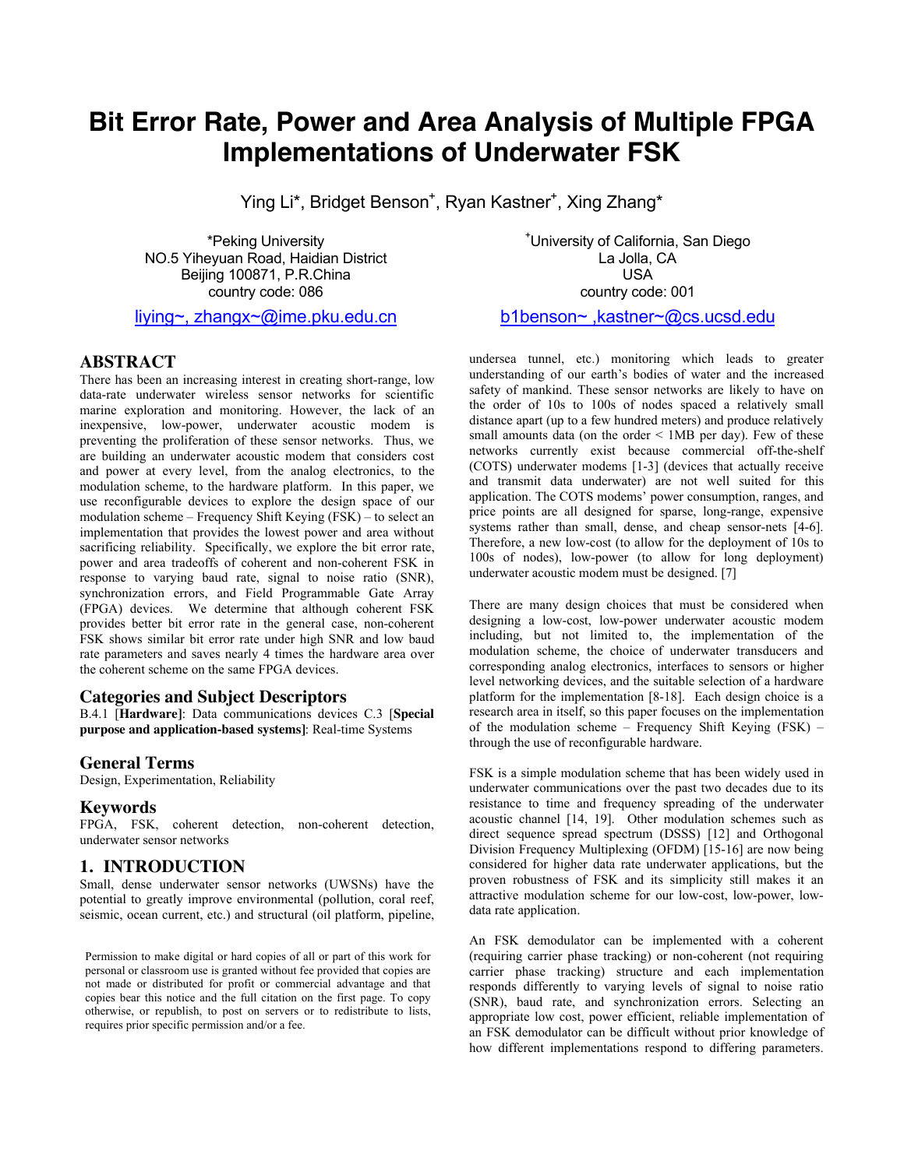# **Bit Error Rate, Power and Area Analysis of Multiple FPGA Implementations of Underwater FSK**

Ying Li\*, Bridget Benson<sup>+</sup>, Ryan Kastner<sup>+</sup>, Xing Zhang\*

\*Peking University NO.5 Yiheyuan Road, Haidian District Beijing 100871, P.R.China country code: 086

[liying~, zhangx~@ime.pku.edu.cn](mailto:liying~,%20zhangx~@ime.pku.edu.cn)

#### **ABSTRACT**

There has been an increasing interest in creating short-range, low data-rate underwater wireless sensor networks for scientific marine exploration and monitoring. However, the lack of an inexpensive, low-power, underwater acoustic modem is preventing the proliferation of these sensor networks. Thus, we are building an underwater acoustic modem that considers cost and power at every level, from the analog electronics, to the modulation scheme, to the hardware platform. In this paper, we use reconfigurable devices to explore the design space of our modulation scheme – Frequency Shift Keying (FSK) – to select an implementation that provides the lowest power and area without sacrificing reliability. Specifically, we explore the bit error rate, power and area tradeoffs of coherent and non-coherent FSK in response to varying baud rate, signal to noise ratio (SNR), synchronization errors, and Field Programmable Gate Array (FPGA) devices. We determine that although coherent FSK provides better bit error rate in the general case, non-coherent FSK shows similar bit error rate under high SNR and low baud rate parameters and saves nearly 4 times the hardware area over the coherent scheme on the same FPGA devices.

### **Categories and Subject Descriptors**

B.4.1 [**Hardware]**: Data communications devices C.3 [**Special purpose and application-based systems]**: Real-time Systems

#### **General Terms**

Design, Experimentation, Reliability

#### **Keywords**

FPGA, FSK, coherent detection, non-coherent detection, underwater sensor networks

## **1. INTRODUCTION**

Small, dense underwater sensor networks (UWSNs) have the potential to greatly improve environmental (pollution, coral reef, seismic, ocean current, etc.) and structural (oil platform, pipeline,

Permission to make digital or hard copies of all or part of this work for personal or classroom use is granted without fee provided that copies are not made or distributed for profit or commercial advantage and that copies bear this notice and the full citation on the first page. To copy otherwise, or republish, to post on servers or to redistribute to lists, requires prior specific permission and/or a fee.

+ University of California, San Diego La Jolla, CA USA country code: 001

[b1benson~ ,kastner~@cs.ucsd.edu](mailto:kastner@cs.ucsd.edu) 

undersea tunnel, etc.) monitoring which leads to greater understanding of our earth's bodies of water and the increased safety of mankind. These sensor networks are likely to have on the order of 10s to 100s of nodes spaced a relatively small distance apart (up to a few hundred meters) and produce relatively small amounts data (on the order  $\leq$  1MB per day). Few of these networks currently exist because commercial off-the-shelf (COTS) underwater modems [1-3] (devices that actually receive and transmit data underwater) are not well suited for this application. The COTS modems' power consumption, ranges, and price points are all designed for sparse, long-range, expensive systems rather than small, dense, and cheap sensor-nets [4-6]. Therefore, a new low-cost (to allow for the deployment of 10s to 100s of nodes), low-power (to allow for long deployment) underwater acoustic modem must be designed. [7]

There are many design choices that must be considered when designing a low-cost, low-power underwater acoustic modem including, but not limited to, the implementation of the modulation scheme, the choice of underwater transducers and corresponding analog electronics, interfaces to sensors or higher level networking devices, and the suitable selection of a hardware platform for the implementation [8-18]. Each design choice is a research area in itself, so this paper focuses on the implementation of the modulation scheme – Frequency Shift Keying (FSK) – through the use of reconfigurable hardware.

FSK is a simple modulation scheme that has been widely used in underwater communications over the past two decades due to its resistance to time and frequency spreading of the underwater acoustic channel [14, 19]. Other modulation schemes such as direct sequence spread spectrum (DSSS) [12] and Orthogonal Division Frequency Multiplexing (OFDM) [15-16] are now being considered for higher data rate underwater applications, but the proven robustness of FSK and its simplicity still makes it an attractive modulation scheme for our low-cost, low-power, lowdata rate application.

An FSK demodulator can be implemented with a coherent (requiring carrier phase tracking) or non-coherent (not requiring carrier phase tracking) structure and each implementation responds differently to varying levels of signal to noise ratio (SNR), baud rate, and synchronization errors. Selecting an appropriate low cost, power efficient, reliable implementation of an FSK demodulator can be difficult without prior knowledge of how different implementations respond to differing parameters.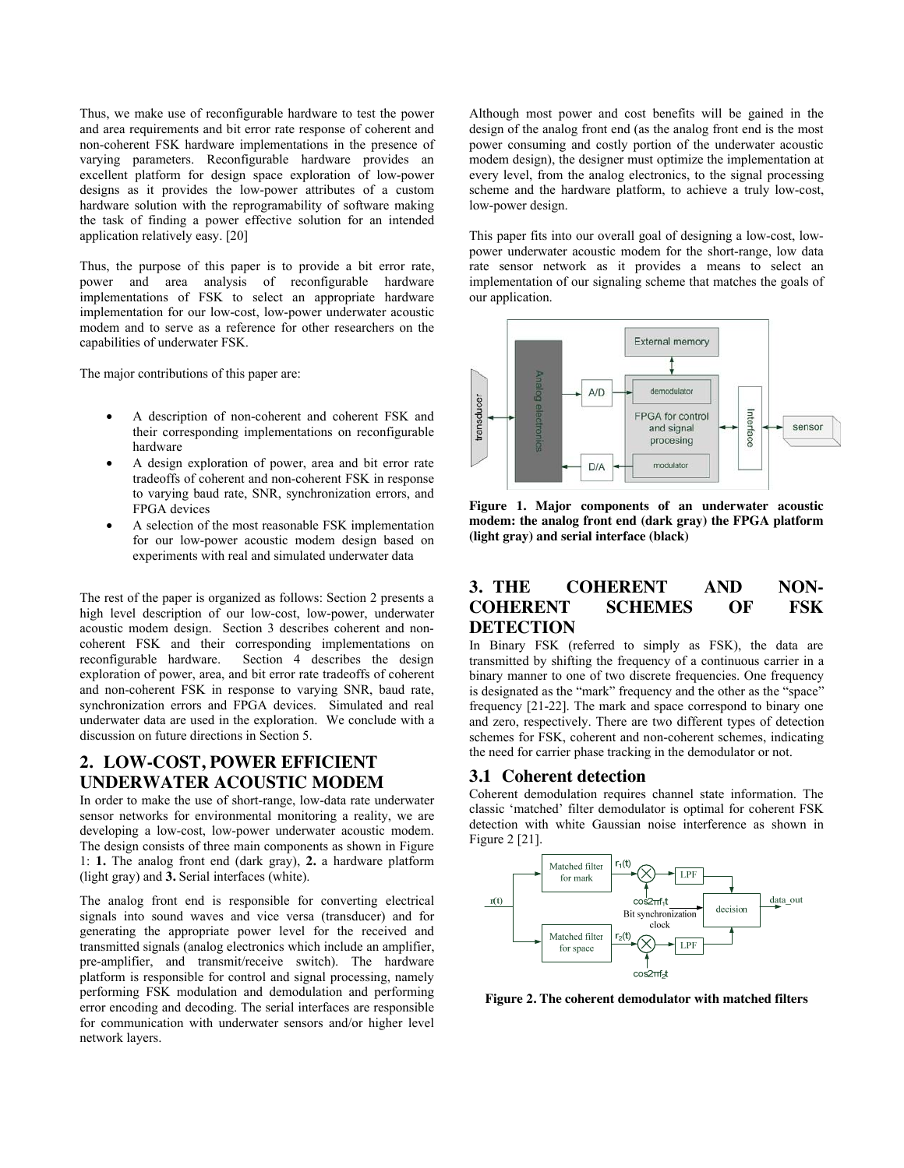Thus, we make use of reconfigurable hardware to test the power and area requirements and bit error rate response of coherent and non-coherent FSK hardware implementations in the presence of varying parameters. Reconfigurable hardware provides an excellent platform for design space exploration of low-power designs as it provides the low-power attributes of a custom hardware solution with the reprogramability of software making the task of finding a power effective solution for an intended application relatively easy. [20]

Thus, the purpose of this paper is to provide a bit error rate, power and area analysis of reconfigurable hardware implementations of FSK to select an appropriate hardware implementation for our low-cost, low-power underwater acoustic modem and to serve as a reference for other researchers on the capabilities of underwater FSK.

The major contributions of this paper are:

- A description of non-coherent and coherent FSK and their corresponding implementations on reconfigurable hardware
- A design exploration of power, area and bit error rate tradeoffs of coherent and non-coherent FSK in response to varying baud rate, SNR, synchronization errors, and FPGA devices
- A selection of the most reasonable FSK implementation for our low-power acoustic modem design based on experiments with real and simulated underwater data

The rest of the paper is organized as follows: Section 2 presents a high level description of our low-cost, low-power, underwater acoustic modem design. Section 3 describes coherent and noncoherent FSK and their corresponding implementations on reconfigurable hardware. Section 4 describes the design exploration of power, area, and bit error rate tradeoffs of coherent and non-coherent FSK in response to varying SNR, baud rate, synchronization errors and FPGA devices. Simulated and real underwater data are used in the exploration. We conclude with a discussion on future directions in Section 5.

# **2. LOW-COST, POWER EFFICIENT UNDERWATER ACOUSTIC MODEM**

In order to make the use of short-range, low-data rate underwater sensor networks for environmental monitoring a reality, we are developing a low-cost, low-power underwater acoustic modem. The design consists of three main components as shown in Figure 1: **1.** The analog front end (dark gray), **2.** a hardware platform (light gray) and **3.** Serial interfaces (white).

The analog front end is responsible for converting electrical signals into sound waves and vice versa (transducer) and for generating the appropriate power level for the received and transmitted signals (analog electronics which include an amplifier, pre-amplifier, and transmit/receive switch). The hardware platform is responsible for control and signal processing, namely performing FSK modulation and demodulation and performing error encoding and decoding. The serial interfaces are responsible for communication with underwater sensors and/or higher level network layers.

Although most power and cost benefits will be gained in the design of the analog front end (as the analog front end is the most power consuming and costly portion of the underwater acoustic modem design), the designer must optimize the implementation at every level, from the analog electronics, to the signal processing scheme and the hardware platform, to achieve a truly low-cost, low-power design.

This paper fits into our overall goal of designing a low-cost, lowpower underwater acoustic modem for the short-range, low data rate sensor network as it provides a means to select an implementation of our signaling scheme that matches the goals of our application.



**Figure 1. Major components of an underwater acoustic modem: the analog front end (dark gray) the FPGA platform (light gray) and serial interface (black)** 

## **3. THE COHERENT AND NON-COHERENT SCHEMES OF FSK DETECTION**

In Binary FSK (referred to simply as FSK), the data are transmitted by shifting the frequency of a continuous carrier in a binary manner to one of two discrete frequencies. One frequency is designated as the "mark" frequency and the other as the "space" frequency [21-22]. The mark and space correspond to binary one and zero, respectively. There are two different types of detection schemes for FSK, coherent and non-coherent schemes, indicating the need for carrier phase tracking in the demodulator or not.

## **3.1 Coherent detection**

Coherent demodulation requires channel state information. The classic 'matched' filter demodulator is optimal for coherent FSK detection with white Gaussian noise interference as shown in Figure 2 [21].



**Figure 2. The coherent demodulator with matched filters**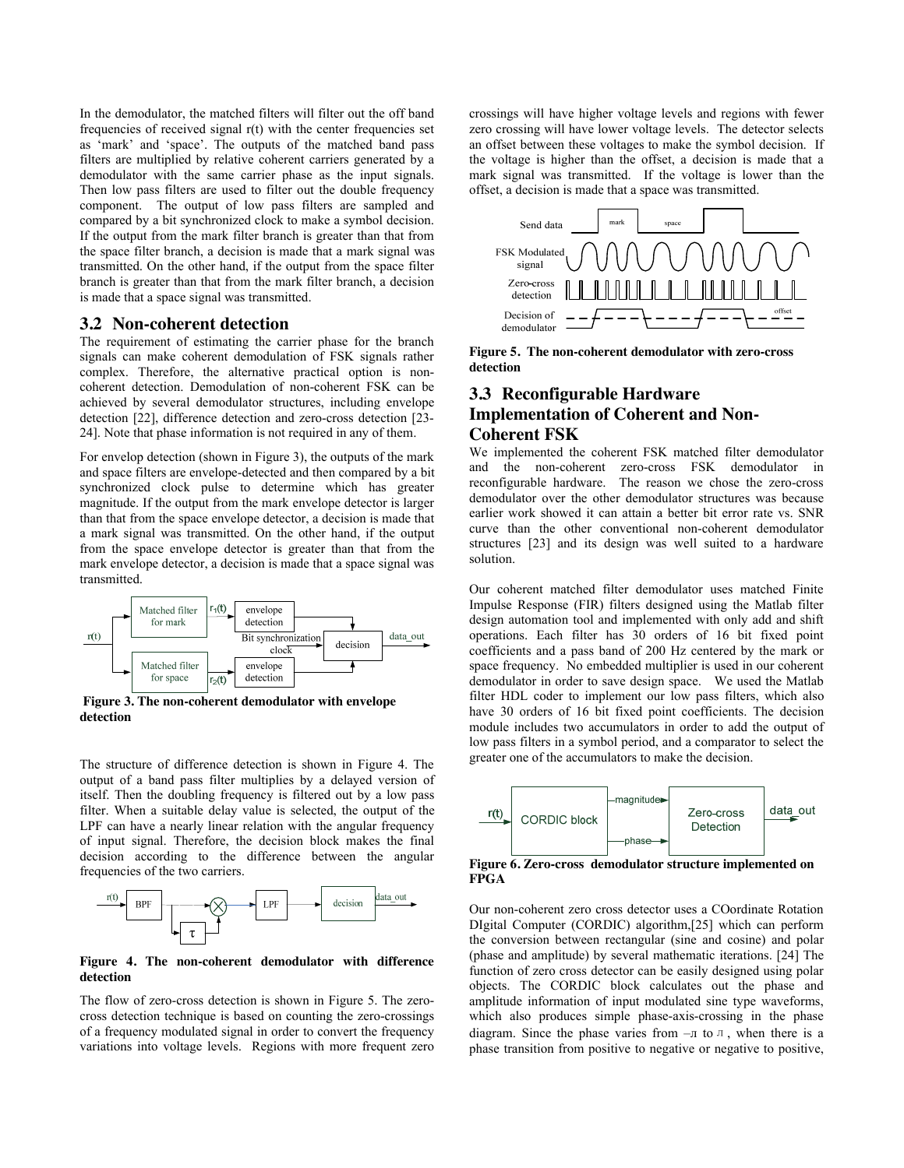In the demodulator, the matched filters will filter out the off band frequencies of received signal r(t) with the center frequencies set as 'mark' and 'space'. The outputs of the matched band pass filters are multiplied by relative coherent carriers generated by a demodulator with the same carrier phase as the input signals. Then low pass filters are used to filter out the double frequency component. The output of low pass filters are sampled and compared by a bit synchronized clock to make a symbol decision. If the output from the mark filter branch is greater than that from the space filter branch, a decision is made that a mark signal was transmitted. On the other hand, if the output from the space filter branch is greater than that from the mark filter branch, a decision is made that a space signal was transmitted.

## **3.2 Non-coherent detection**

The requirement of estimating the carrier phase for the branch signals can make coherent demodulation of FSK signals rather complex. Therefore, the alternative practical option is noncoherent detection. Demodulation of non-coherent FSK can be achieved by several demodulator structures, including envelope detection [22], difference detection and zero-cross detection [23- 24]. Note that phase information is not required in any of them.

For envelop detection (shown in Figure 3), the outputs of the mark and space filters are envelope-detected and then compared by a bit synchronized clock pulse to determine which has greater magnitude. If the output from the mark envelope detector is larger than that from the space envelope detector, a decision is made that a mark signal was transmitted. On the other hand, if the output from the space envelope detector is greater than that from the mark envelope detector, a decision is made that a space signal was transmitted.



**Figure 3. The non-coherent demodulator with envelope detection** 

The structure of difference detection is shown in Figure 4. The output of a band pass filter multiplies by a delayed version of itself. Then the doubling frequency is filtered out by a low pass filter. When a suitable delay value is selected, the output of the LPF can have a nearly linear relation with the angular frequency of input signal. Therefore, the decision block makes the final decision according to the difference between the angular frequencies of the two carriers.



**Figure 4. The non-coherent demodulator with difference detection** 

The flow of zero-cross detection is shown in Figure 5. The zerocross detection technique is based on counting the zero-crossings of a frequency modulated signal in order to convert the frequency variations into voltage levels. Regions with more frequent zero

crossings will have higher voltage levels and regions with fewer zero crossing will have lower voltage levels. The detector selects an offset between these voltages to make the symbol decision. If the voltage is higher than the offset, a decision is made that a mark signal was transmitted. If the voltage is lower than the offset, a decision is made that a space was transmitted.



**Figure 5. The non-coherent demodulator with zero-cross detection** 

## **3.3 Reconfigurable Hardware Implementation of Coherent and Non-Coherent FSK**

We implemented the coherent FSK matched filter demodulator and the non-coherent zero-cross FSK demodulator in reconfigurable hardware. The reason we chose the zero-cross demodulator over the other demodulator structures was because earlier work showed it can attain a better bit error rate vs. SNR curve than the other conventional non-coherent demodulator structures [23] and its design was well suited to a hardware solution.

Our coherent matched filter demodulator uses matched Finite Impulse Response (FIR) filters designed using the Matlab filter design automation tool and implemented with only add and shift operations. Each filter has 30 orders of 16 bit fixed point coefficients and a pass band of 200 Hz centered by the mark or space frequency. No embedded multiplier is used in our coherent demodulator in order to save design space. We used the Matlab filter HDL coder to implement our low pass filters, which also have 30 orders of 16 bit fixed point coefficients. The decision module includes two accumulators in order to add the output of low pass filters in a symbol period, and a comparator to select the greater one of the accumulators to make the decision.



**Figure 6. Zero-cross demodulator structure implemented on FPGA** 

Our non-coherent zero cross detector uses a COordinate Rotation DIgital Computer (CORDIC) algorithm,[25] which can perform the conversion between rectangular (sine and cosine) and polar (phase and amplitude) by several mathematic iterations. [24] The function of zero cross detector can be easily designed using polar objects. The CORDIC block calculates out the phase and amplitude information of input modulated sine type waveforms, which also produces simple phase-axis-crossing in the phase diagram. Since the phase varies from  $-\pi$  to  $\pi$ , when there is a phase transition from positive to negative or negative to positive,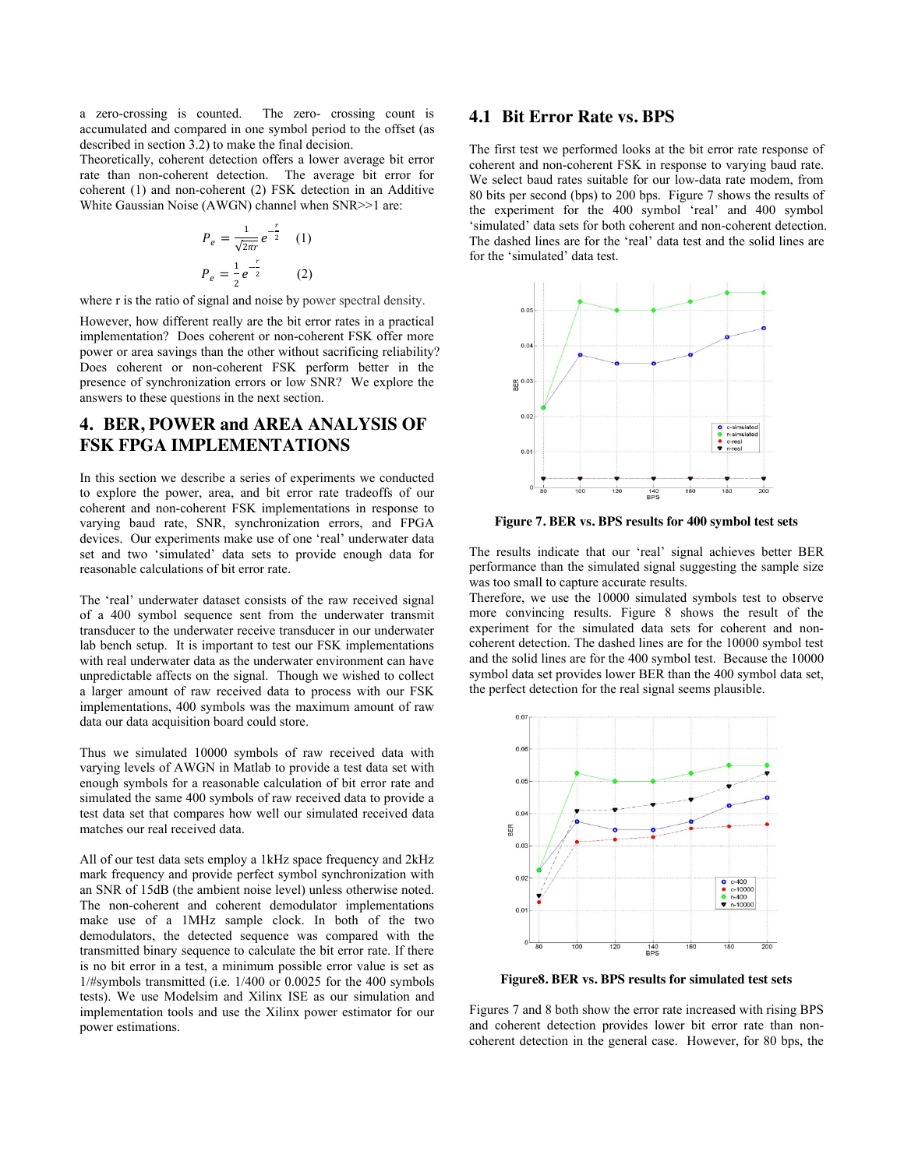a zero-crossing is counted. The zero- crossing count is accumulated and compared in one symbol period to the offset (as described in section 3.2) to make the final decision.

Theoretically, coherent detection offers a lower average bit error rate than non-coherent detection. The average bit error for coherent (1) and non-coherent (2) FSK detection in an Additive White Gaussian Noise (AWGN) channel when SNR>>1 are:

$$
P_e = \frac{1}{\sqrt{2\pi r}} e^{-\frac{r}{2}} \quad (1)
$$

$$
P_e = \frac{1}{2} e^{-\frac{r}{2}} \quad (2)
$$

where r is the ratio of signal and noise by power spectral density.

However, how different really are the bit error rates in a practical implementation? Does coherent or non-coherent FSK offer more power or area savings than the other without sacrificing reliability? Does coherent or non-coherent FSK perform better in the presence of synchronization errors or low SNR? We explore the answers to these questions in the next section.

# **4. BER, POWER and AREA ANALYSIS OF FSK FPGA IMPLEMENTATIONS**

In this section we describe a series of experiments we conducted to explore the power, area, and bit error rate tradeoffs of our coherent and non-coherent FSK implementations in response to varying baud rate, SNR, synchronization errors, and FPGA devices. Our experiments make use of one 'real' underwater data set and two 'simulated' data sets to provide enough data for reasonable calculations of bit error rate.

The 'real' underwater dataset consists of the raw received signal of a 400 symbol sequence sent from the underwater transmit transducer to the underwater receive transducer in our underwater lab bench setup. It is important to test our FSK implementations with real underwater data as the underwater environment can have unpredictable affects on the signal. Though we wished to collect a larger amount of raw received data to process with our FSK implementations, 400 symbols was the maximum amount of raw data our data acquisition board could store.

Thus we simulated 10000 symbols of raw received data with varying levels of AWGN in Matlab to provide a test data set with enough symbols for a reasonable calculation of bit error rate and simulated the same 400 symbols of raw received data to provide a test data set that compares how well our simulated received data matches our real received data.

All of our test data sets employ a 1kHz space frequency and 2kHz mark frequency and provide perfect symbol synchronization with an SNR of 15dB (the ambient noise level) unless otherwise noted. The non-coherent and coherent demodulator implementations make use of a 1MHz sample clock. In both of the two demodulators, the detected sequence was compared with the transmitted binary sequence to calculate the bit error rate. If there is no bit error in a test, a minimum possible error value is set as 1/#symbols transmitted (i.e. 1/400 or 0.0025 for the 400 symbols tests). We use Modelsim and Xilinx ISE as our simulation and implementation tools and use the Xilinx power estimator for our power estimations.

## **4.1 Bit Error Rate vs. BPS**

The first test we performed looks at the bit error rate response of coherent and non-coherent FSK in response to varying baud rate. We select baud rates suitable for our low-data rate modem, from 80 bits per second (bps) to 200 bps. Figure 7 shows the results of the experiment for the 400 symbol 'real' and 400 symbol 'simulated' data sets for both coherent and non-coherent detection. The dashed lines are for the 'real' data test and the solid lines are for the 'simulated' data test.



**Figure 7. BER vs. BPS results for 400 symbol test sets** 

The results indicate that our 'real' signal achieves better BER performance than the simulated signal suggesting the sample size was too small to capture accurate results.

Therefore, we use the 10000 simulated symbols test to observe more convincing results. Figure 8 shows the result of the experiment for the simulated data sets for coherent and noncoherent detection. The dashed lines are for the 10000 symbol test and the solid lines are for the 400 symbol test. Because the 10000 symbol data set provides lower BER than the 400 symbol data set, the perfect detection for the real signal seems plausible.



**Figure8. BER vs. BPS results for simulated test sets** 

Figures 7 and 8 both show the error rate increased with rising BPS and coherent detection provides lower bit error rate than noncoherent detection in the general case. However, for 80 bps, the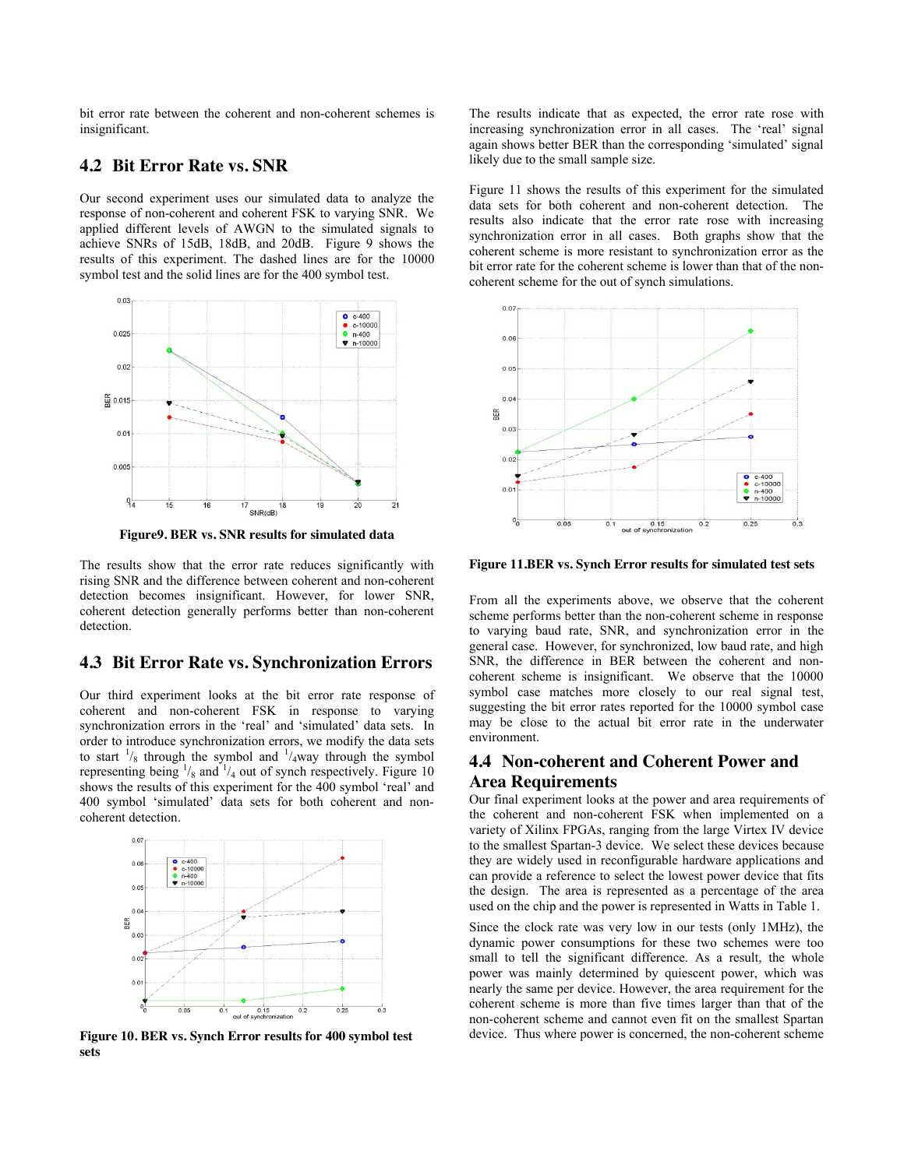bit error rate between the coherent and non-coherent schemes is insignificant.

## **4.2 Bit Error Rate vs. SNR**

Our second experiment uses our simulated data to analyze the response of non-coherent and coherent FSK to varying SNR. We applied different levels of AWGN to the simulated signals to achieve SNRs of 15dB, 18dB, and 20dB. Figure 9 shows the results of this experiment. The dashed lines are for the 10000 symbol test and the solid lines are for the 400 symbol test.



**Figure9. BER vs. SNR results for simulated data** 

The results show that the error rate reduces significantly with rising SNR and the difference between coherent and non-coherent detection becomes insignificant. However, for lower SNR, coherent detection generally performs better than non-coherent detection.

#### **4.3 Bit Error Rate vs. Synchronization Errors**

Our third experiment looks at the bit error rate response of coherent and non-coherent FSK in response to varying synchronization errors in the 'real' and 'simulated' data sets. In order to introduce synchronization errors, we modify the data sets to start  $\frac{1}{8}$  through the symbol and  $\frac{1}{4}$ way through the symbol representing being  $\frac{1}{8}$  and  $\frac{1}{4}$  out of synch respectively. Figure 10 shows the results of this experiment for the 400 symbol 'real' and 400 symbol 'simulated' data sets for both coherent and noncoherent detection.



**Figure 10. BER vs. Synch Error results for 400 symbol test sets** 

The results indicate that as expected, the error rate rose with increasing synchronization error in all cases. The 'real' signal again shows better BER than the corresponding 'simulated' signal likely due to the small sample size.

Figure 11 shows the results of this experiment for the simulated data sets for both coherent and non-coherent detection. The results also indicate that the error rate rose with increasing synchronization error in all cases. Both graphs show that the coherent scheme is more resistant to synchronization error as the bit error rate for the coherent scheme is lower than that of the noncoherent scheme for the out of synch simulations.



**Figure 11.BER vs. Synch Error results for simulated test sets** 

From all the experiments above, we observe that the coherent scheme performs better than the non-coherent scheme in response to varying baud rate, SNR, and synchronization error in the general case. However, for synchronized, low baud rate, and high SNR, the difference in BER between the coherent and noncoherent scheme is insignificant. We observe that the 10000 symbol case matches more closely to our real signal test, suggesting the bit error rates reported for the 10000 symbol case may be close to the actual bit error rate in the underwater environment.

## **4.4 Non-coherent and Coherent Power and Area Requirements**

Our final experiment looks at the power and area requirements of the coherent and non-coherent FSK when implemented on a variety of Xilinx FPGAs, ranging from the large Virtex IV device to the smallest Spartan-3 device. We select these devices because they are widely used in reconfigurable hardware applications and can provide a reference to select the lowest power device that fits the design. The area is represented as a percentage of the area used on the chip and the power is represented in Watts in Table 1.

Since the clock rate was very low in our tests (only 1MHz), the dynamic power consumptions for these two schemes were too small to tell the significant difference. As a result, the whole power was mainly determined by quiescent power, which was nearly the same per device. However, the area requirement for the coherent scheme is more than five times larger than that of the non-coherent scheme and cannot even fit on the smallest Spartan device. Thus where power is concerned, the non-coherent scheme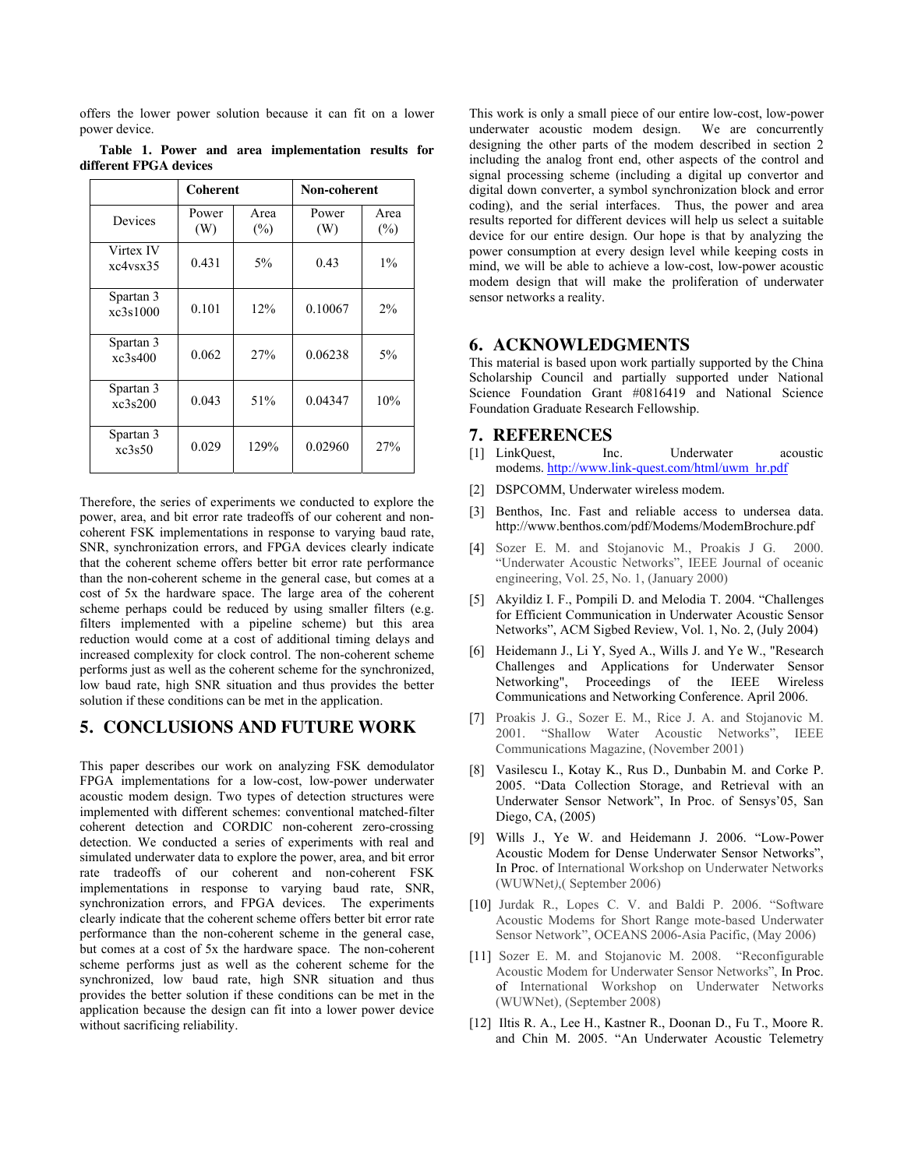offers the lower power solution because it can fit on a lower power device.

|                        |  | Table 1. Power and area implementation results for |  |
|------------------------|--|----------------------------------------------------|--|
| different FPGA devices |  |                                                    |  |

|                       | <b>Coherent</b> |                | Non-coherent |                |  |
|-----------------------|-----------------|----------------|--------------|----------------|--|
| Devices               | Power<br>(W)    | Area<br>$(\%)$ | Power<br>(W) | Area<br>$(\%)$ |  |
| Virtex IV<br>xc4vsx35 | 0.431           | $5\%$          | 0.43         | $1\%$          |  |
| Spartan 3<br>xc3s1000 | 0.101           | 12%            | 0.10067      | 2%             |  |
| Spartan 3<br>xc3s400  | 0.062           | 27%            | 0.06238      | 5%             |  |
| Spartan 3<br>xc3s200  | 0.043           | 51%            | 0.04347      | 10%            |  |
| Spartan 3<br>xc3s50   | 0.029           | 129%           | 0.02960      | 27%            |  |

Therefore, the series of experiments we conducted to explore the power, area, and bit error rate tradeoffs of our coherent and noncoherent FSK implementations in response to varying baud rate, SNR, synchronization errors, and FPGA devices clearly indicate that the coherent scheme offers better bit error rate performance than the non-coherent scheme in the general case, but comes at a cost of 5x the hardware space. The large area of the coherent scheme perhaps could be reduced by using smaller filters (e.g. filters implemented with a pipeline scheme) but this area reduction would come at a cost of additional timing delays and increased complexity for clock control. The non-coherent scheme performs just as well as the coherent scheme for the synchronized, low baud rate, high SNR situation and thus provides the better solution if these conditions can be met in the application.

#### **5. CONCLUSIONS AND FUTURE WORK**

This paper describes our work on analyzing FSK demodulator FPGA implementations for a low-cost, low-power underwater acoustic modem design. Two types of detection structures were implemented with different schemes: conventional matched-filter coherent detection and CORDIC non-coherent zero-crossing detection. We conducted a series of experiments with real and simulated underwater data to explore the power, area, and bit error rate tradeoffs of our coherent and non-coherent FSK implementations in response to varying baud rate, SNR, synchronization errors, and FPGA devices. The experiments clearly indicate that the coherent scheme offers better bit error rate performance than the non-coherent scheme in the general case, but comes at a cost of 5x the hardware space. The non-coherent scheme performs just as well as the coherent scheme for the synchronized, low baud rate, high SNR situation and thus provides the better solution if these conditions can be met in the application because the design can fit into a lower power device without sacrificing reliability.

This work is only a small piece of our entire low-cost, low-power underwater acoustic modem design. We are concurrently designing the other parts of the modem described in section 2 including the analog front end, other aspects of the control and signal processing scheme (including a digital up convertor and digital down converter, a symbol synchronization block and error coding), and the serial interfaces. Thus, the power and area results reported for different devices will help us select a suitable device for our entire design. Our hope is that by analyzing the power consumption at every design level while keeping costs in mind, we will be able to achieve a low-cost, low-power acoustic modem design that will make the proliferation of underwater sensor networks a reality.

#### **6. ACKNOWLEDGMENTS**

This material is based upon work partially supported by the China Scholarship Council and partially supported under National Science Foundation Grant #0816419 and National Science Foundation Graduate Research Fellowship.

# **7. REFERENCES**

- [1] LinkQuest, Inc. Underwater acoustic modems. [http://www.link-quest.com/html/uwm\\_hr.pdf](http://www.link-quest.com/html/uwm_hr.pdf)
- [2] DSPCOMM, Underwater wireless modem.
- [3] Benthos, Inc. Fast and reliable access to undersea data. http://www.benthos.com/pdf/Modems/ModemBrochure.pdf
- [4] Sozer E. M. and Stojanovic M., Proakis J G. 2000. "Underwater Acoustic Networks", IEEE Journal of oceanic engineering, Vol. 25, No. 1, (January 2000)
- [5] Akyildiz I. F., Pompili D. and Melodia T. 2004. "Challenges for Efficient Communication in Underwater Acoustic Sensor Networks", ACM Sigbed Review, Vol. 1, No. 2, (July 2004)
- [6] Heidemann J., Li Y, Syed A., Wills J. and Ye W., "Research Challenges and Applications for Underwater Sensor Networking", Proceedings of the IEEE Wireless Communications and Networking Conference. April 2006.
- [7] Proakis J. G., Sozer E. M., Rice J. A. and Stojanovic M. 2001. "Shallow Water Acoustic Networks", IEEE Communications Magazine, (November 2001)
- [8] Vasilescu I., Kotay K., Rus D., Dunbabin M. and Corke P. 2005. "Data Collection Storage, and Retrieval with an Underwater Sensor Network", In Proc. of Sensys'05, San Diego, CA, (2005)
- [9] Wills J., Ye W. and Heidemann J. 2006. "Low-Power Acoustic Modem for Dense Underwater Sensor Networks", In Proc. of International Workshop on Underwater Networks (WUWNet*)*,( September 2006)
- [10] Jurdak R., Lopes C. V. and Baldi P. 2006. "Software Acoustic Modems for Short Range mote-based Underwater Sensor Network", OCEANS 2006-Asia Pacific, (May 2006)
- [11] Sozer E. M. and Stojanovic M. 2008. "Reconfigurable Acoustic Modem for Underwater Sensor Networks", In Proc. of International Workshop on Underwater Networks (WUWNet)*,* (September 2008)
- [12] Iltis R. A., Lee H., Kastner R., Doonan D., Fu T., Moore R. and Chin M. 2005. "An Underwater Acoustic Telemetry